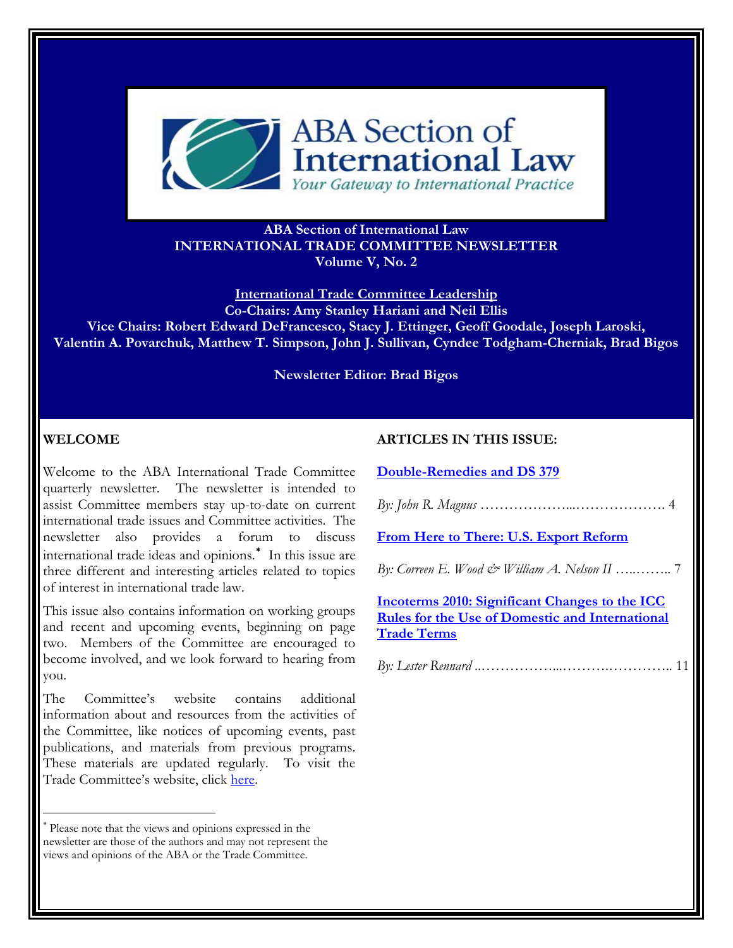

## **ABA Section of International Law INTERNATIONAL TRADE COMMITTEE NEWSLETTER Volume V, No. 2**

**International Trade Committee Leadership Co-Chairs: Amy Stanley Hariani and Neil Ellis Vice Chairs: Robert Edward DeFrancesco, Stacy J. Ettinger, Geoff Goodale, Joseph Laroski, Valentin A. Povarchuk, Matthew T. Simpson, John J. Sullivan, Cyndee Todgham-Cherniak, Brad Bigos** 

**Newsletter Editor: Brad Bigos** 

## **WELCOME**

 $\overline{a}$ 

Welcome to the ABA International Trade Committee quarterly newsletter. The newsletter is intended to assist Committee members stay up-to-date on current international trade issues and Committee activities. The newsletter also provides a forum to discuss international trade ideas and opinions. In this issue are three different and interesting articles related to topics of interest in international trade law.

This issue also contains information on working groups and recent and upcoming events, beginning on page two. Members of the Committee are encouraged to become involved, and we look forward to hearing from you.

The Committee's website contains additional information about and resources from the activities of the Committee, like notices of upcoming events, past publications, and materials from previous programs. These materials are updated regularly. To visit the Trade Committee's website, click [here.](http://www.abanet.org/dch/committee.cfm?com=IC776000)

#### **ARTICLES IN THIS ISSUE:**

**[Double-Remedies and DS 379](#page-1-0)**

*By: John R. Magnus* ………………...………………. 4

**[From Here to There: U.S. Export Reform](#page-4-0)**

*By: Correen E. Wood & William A. Nelson II* …..…….. 7

**Incoterms 2010: Significant Changes to the ICC Rules for the Use of Domestic and International Trade Terms**

*By: Lester Rennard* ..……………...……….………….. 11

<span id="page-0-0"></span>Please note that the views and opinions expressed in the newsletter are those of the authors and may not represent the views and opinions of the ABA or the Trade Committee.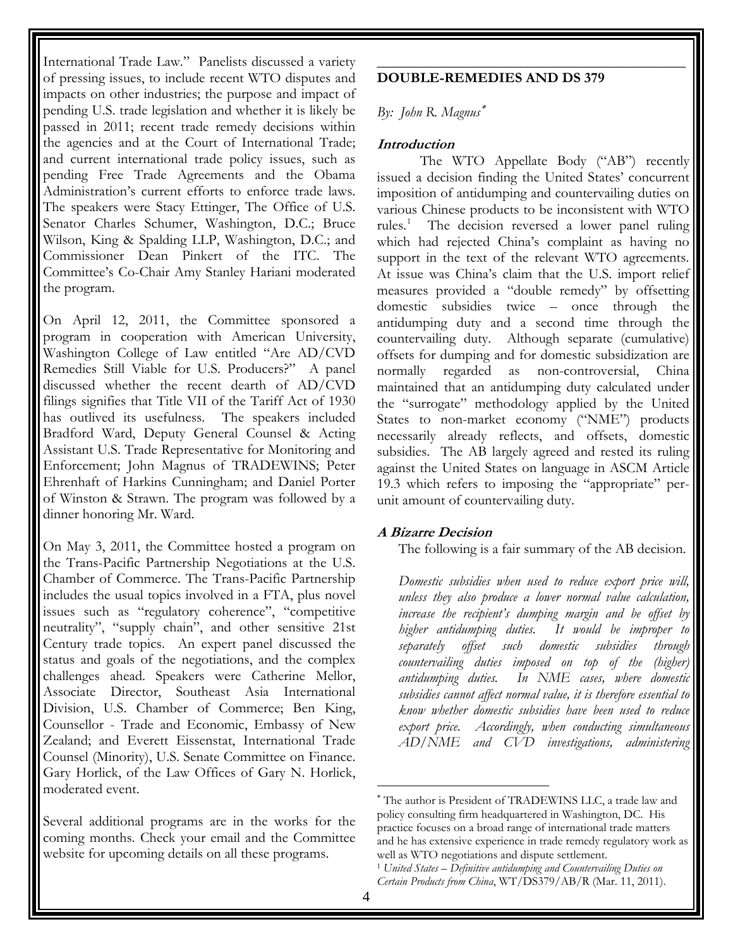<span id="page-1-0"></span>International Trade Law." Panelists discussed a variety of pressing issues, to include recent WTO disputes and impacts on other industries; the purpose and impact of pending U.S. trade legislation and whether it is likely be passed in 2011; recent trade remedy decisions within the agencies and at the Court of International Trade; and current international trade policy issues, such as pending Free Trade Agreements and the Obama Administration's current efforts to enforce trade laws. The speakers were Stacy Ettinger, The Office of U.S. Senator Charles Schumer, Washington, D.C.; Bruce Wilson, King & Spalding LLP, Washington, D.C.; and Commissioner Dean Pinkert of the ITC. The Committee's Co-Chair Amy Stanley Hariani moderated the program.

On April 12, 2011, the Committee sponsored a program in cooperation with American University, Washington College of Law entitled "Are AD/CVD Remedies Still Viable for U.S. Producers?" A panel discussed whether the recent dearth of AD/CVD filings signifies that Title VII of the Tariff Act of 1930 has outlived its usefulness. The speakers included Bradford Ward, Deputy General Counsel & Acting Assistant U.S. Trade Representative for Monitoring and Enforcement; John Magnus of TRADEWINS; Peter Ehrenhaft of Harkins Cunningham; and Daniel Porter of Winston & Strawn. The program was followed by a dinner honoring Mr. Ward.

On May 3, 2011, the Committee hosted a program on the Trans-Pacific Partnership Negotiations at the U.S. Chamber of Commerce. The Trans-Pacific Partnership includes the usual topics involved in a FTA, plus novel issues such as "regulatory coherence", "competitive neutrality", "supply chain", and other sensitive 21st Century trade topics. An expert panel discussed the status and goals of the negotiations, and the complex challenges ahead. Speakers were Catherine Mellor, Associate Director, Southeast Asia International Division, U.S. Chamber of Commerce; Ben King, Counsellor - Trade and Economic, Embassy of New Zealand; and Everett Eissenstat, International Trade Counsel (Minority), U.S. Senate Committee on Finance. Gary Horlick, of the Law Offices of Gary N. Horlick, moderated event.

<span id="page-1-2"></span><span id="page-1-1"></span>Several additional programs are in the works for the coming months. Check your email and the Committee website for upcoming details on all these programs.

## **DOUBLE-REMEDIES AND DS 379**

\_\_\_\_\_\_\_\_\_\_\_\_\_\_\_\_\_\_\_\_\_\_\_\_\_\_\_\_\_\_\_\_\_\_\_\_\_\_\_\_\_\_\_

## *By: John R. Magnus*

### **Introduction**

unit amount of countervailing duty. The WTO Appellate Body ("AB") recently issued a decision finding the United States' concurrent imposition of antidumping and countervailing duties on various Chinese products to be inconsistent with WTO rules.<sup>[1](#page-1-2)</sup> The decision reversed a lower panel ruling which had rejected China's complaint as having no support in the text of the relevant WTO agreements. At issue was China's claim that the U.S. import relief measures provided a "double remedy" by offsetting domestic subsidies twice – once through the antidumping duty and a second time through the countervailing duty. Although separate (cumulative) offsets for dumping and for domestic subsidization are normally regarded as non-controversial, China maintained that an antidumping duty calculated under the "surrogate" methodology applied by the United States to non-market economy ("NME") products necessarily already reflects, and offsets, domestic subsidies. The AB largely agreed and rested its ruling against the United States on language in ASCM Article 19.3 which refers to imposing the "appropriate" per-

#### **A Bizarre Decision**

The following is a fair summary of the AB decision.

*Domestic subsidies when used to reduce export price will, unless they also produce a lower normal value calculation, increase the recipient's dumping margin and be offset by higher antidumping duties. It would be improper to separately offset such domestic subsidies through countervailing duties imposed on top of the (higher) antidumping duties. In NME cases, where domestic subsidies cannot affect normal value, it is therefore essential to know whether domestic subsidies have been used to reduce export price. Accordingly, when conducting simultaneous AD/NME and CVD investigations, administering* 

 $\overline{a}$ 

The author is President of TRADEWINS LLC, a trade law and policy consulting firm headquartered in Washington, DC. His practice focuses on a broad range of international trade matters and he has extensive experience in trade remedy regulatory work as well as WTO negotiations and dispute settlement.

<sup>1</sup> *United States – Definitive antidumping and Countervailing Duties on Certain Products from China*, WT/DS379/AB/R (Mar. 11, 2011).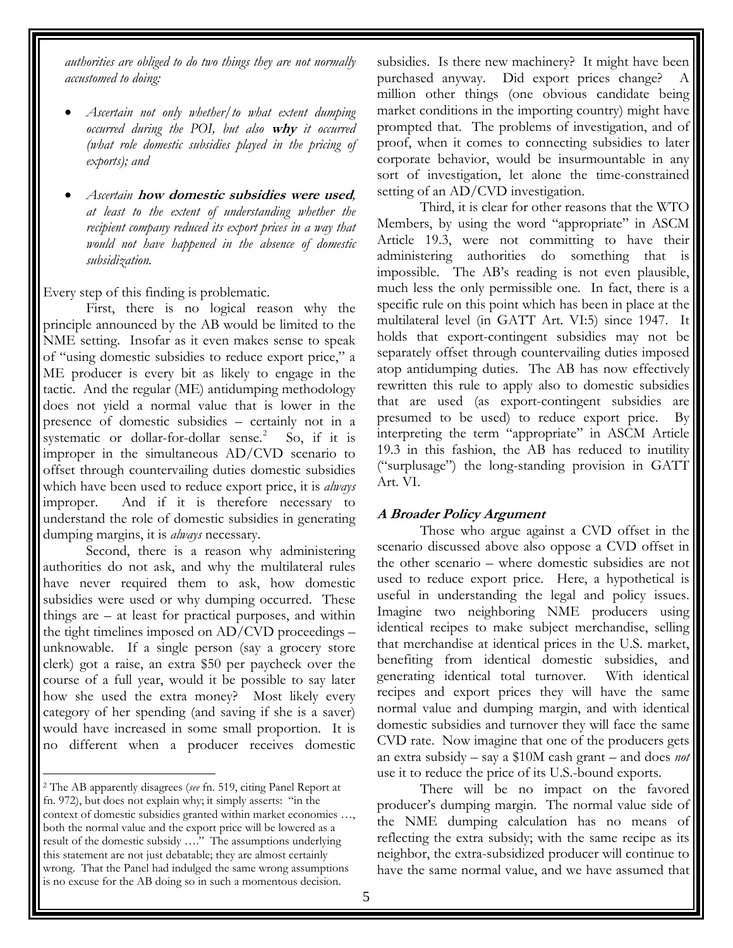*authorities are obliged to do two things they are not normally accustomed to doing:* 

- *Ascertain not only whether/to what extent dumping occurred during the POI, but also* **why** *it occurred (what role domestic subsidies played in the pricing of exports); and*
- *Ascertain* **how domestic subsidies were used***, at least to the extent of understanding whether the recipient company reduced its export prices in a way that would not have happened in the absence of domestic subsidization.*

Every step of this finding is problematic.

First, there is no logical reason why the principle announced by the AB would be limited to the NME setting. Insofar as it even makes sense to speak of "using domestic subsidies to reduce export price," a ME producer is every bit as likely to engage in the tactic. And the regular (ME) antidumping methodology does not yield a normal value that is lower in the presence of domestic subsidies – certainly not in a systematic or dollar-for-dollar sense.<sup>[2](#page-2-0)</sup> So, if it is improper in the simultaneous AD/CVD scenario to offset through countervailing duties domestic subsidies which have been used to reduce export price, it is *always* improper. And if it is therefore necessary to understand the role of domestic subsidies in generating dumping margins, it is *always* necessary.

Second, there is a reason why administering authorities do not ask, and why the multilateral rules have never required them to ask, how domestic subsidies were used or why dumping occurred. These things are – at least for practical purposes, and within the tight timelines imposed on AD/CVD proceedings – unknowable. If a single person (say a grocery store clerk) got a raise, an extra \$50 per paycheck over the course of a full year, would it be possible to say later how she used the extra money? Most likely every category of her spending (and saving if she is a saver) would have increased in some small proportion. It is no different when a producer receives domestic

subsidies. Is there new machinery? It might have been purchased anyway. Did export prices change? million other things (one obvious candidate being market conditions in the importing country) might have prompted that. The problems of investigation, and of proof, when it comes to connecting subsidies to later corporate behavior, would be insurmountable in any sort of investigation, let alone the time-constrained setting of an AD/CVD investigation.

Third, it is clear for other reasons that the WTO Members, by using the word "appropriate" in ASCM Article 19.3, were not committing to have their administering authorities do something that is impossible. The AB's reading is not even plausible, much less the only permissible one. In fact, there is a specific rule on this point which has been in place at the multilateral level (in GATT Art. VI:5) since 1947. It holds that export-contingent subsidies may not be separately offset through countervailing duties imposed atop antidumping duties. The AB has now effectively rewritten this rule to apply also to domestic subsidies that are used (as export-contingent subsidies are presumed to be used) to reduce export price. By interpreting the term "appropriate" in ASCM Article 19.3 in this fashion, the AB has reduced to inutility ("surplusage") the long-standing provision in GATT Art. VI.

# **A Broader Policy Argument**

Those who argue against a CVD offset in the scenario discussed above also oppose a CVD offset in the other scenario – where domestic subsidies are not used to reduce export price. Here, a hypothetical is useful in understanding the legal and policy issues. Imagine two neighboring NME producers using identical recipes to make subject merchandise, selling that merchandise at identical prices in the U.S. market, benefiting from identical domestic subsidies, and generating identical total turnover. With identical recipes and export prices they will have the same normal value and dumping margin, and with identical domestic subsidies and turnover they will face the same CVD rate. Now imagine that one of the producers gets an extra subsidy – say a \$10M cash grant – and does *not* use it to reduce the price of its U.S.-bound exports.

There will be no impact on the favored producer's dumping margin. The normal value side of the NME dumping calculation has no means of reflecting the extra subsidy; with the same recipe as its neighbor, the extra-subsidized producer will continue to have the same normal value, and we have assumed that

<span id="page-2-0"></span> $\overline{a}$ 2 The AB apparently disagrees (*see* fn. 519, citing Panel Report at fn. 972), but does not explain why; it simply asserts: "in the context of domestic subsidies granted within market economies …, both the normal value and the export price will be lowered as a result of the domestic subsidy …." The assumptions underlying this statement are not just debatable; they are almost certainly wrong. That the Panel had indulged the same wrong assumptions is no excuse for the AB doing so in such a momentous decision.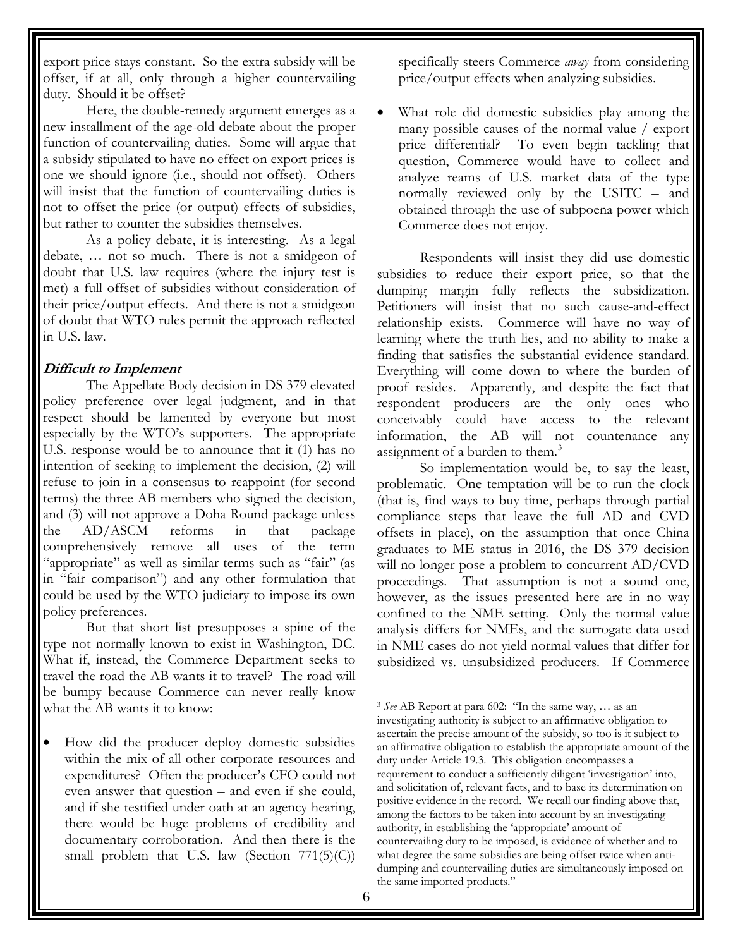export price stays constant. So the extra subsidy will be offset, if at all, only through a higher countervailing duty. Should it be offset?

Here, the double-remedy argument emerges as a new installment of the age-old debate about the proper function of countervailing duties. Some will argue that a subsidy stipulated to have no effect on export prices is one we should ignore (i.e., should not offset). Others will insist that the function of countervailing duties is not to offset the price (or output) effects of subsidies, but rather to counter the subsidies themselves.

As a policy debate, it is interesting. As a legal debate, … not so much. There is not a smidgeon of doubt that U.S. law requires (where the injury test is met) a full offset of subsidies without consideration of their price/output effects. And there is not a smidgeon of doubt that WTO rules permit the approach reflected in U.S. law.

## **Difficult to Implement**

The Appellate Body decision in DS 379 elevated policy preference over legal judgment, and in that respect should be lamented by everyone but most especially by the WTO's supporters. The appropriate U.S. response would be to announce that it (1) has no intention of seeking to implement the decision, (2) will refuse to join in a consensus to reappoint (for second terms) the three AB members who signed the decision, and (3) will not approve a Doha Round package unless the AD/ASCM reforms in that package comprehensively remove all uses of the term "appropriate" as well as similar terms such as "fair" (as in "fair comparison") and any other formulation that could be used by the WTO judiciary to impose its own policy preferences.

But that short list presupposes a spine of the type not normally known to exist in Washington, DC. What if, instead, the Commerce Department seeks to travel the road the AB wants it to travel? The road will be bumpy because Commerce can never really know what the AB wants it to know:

<span id="page-3-0"></span> How did the producer deploy domestic subsidies within the mix of all other corporate resources and expenditures? Often the producer's CFO could not even answer that question – and even if she could, and if she testified under oath at an agency hearing, there would be huge problems of credibility and documentary corroboration. And then there is the small problem that U.S. law (Section  $771(5)(C)$ )

specifically steers Commerce *away* from considering price/output effects when analyzing subsidies.

 What role did domestic subsidies play among the many possible causes of the normal value / export price differential? To even begin tackling that question, Commerce would have to collect and analyze reams of U.S. market data of the type normally reviewed only by the USITC – and obtained through the use of subpoena power which Commerce does not enjoy.

Respondents will insist they did use domestic subsidies to reduce their export price, so that the dumping margin fully reflects the subsidization. Petitioners will insist that no such cause-and-effect relationship exists. Commerce will have no way of learning where the truth lies, and no ability to make a finding that satisfies the substantial evidence standard. Everything will come down to where the burden of proof resides. Apparently, and despite the fact that respondent producers are the only ones who conceivably could have access to the relevant information, the AB will not countenance any assignment of a burden to them.<sup>[3](#page-3-0)</sup>

So implementation would be, to say the least, problematic. One temptation will be to run the clock (that is, find ways to buy time, perhaps through partial compliance steps that leave the full AD and CVD offsets in place), on the assumption that once China graduates to ME status in 2016, the DS 379 decision will no longer pose a problem to concurrent AD/CVD proceedings. That assumption is not a sound one, however, as the issues presented here are in no way confined to the NME setting. Only the normal value analysis differs for NMEs, and the surrogate data used in NME cases do not yield normal values that differ for subsidized vs. unsubsidized producers. If Commerce

 $\overline{a}$ 

<sup>3</sup> *See* AB Report at para 602: "In the same way, … as an investigating authority is subject to an affirmative obligation to ascertain the precise amount of the subsidy, so too is it subject to an affirmative obligation to establish the appropriate amount of the duty under Article 19.3. This obligation encompasses a requirement to conduct a sufficiently diligent 'investigation' into, and solicitation of, relevant facts, and to base its determination on positive evidence in the record. We recall our finding above that, among the factors to be taken into account by an investigating authority, in establishing the 'appropriate' amount of countervailing duty to be imposed, is evidence of whether and to what degree the same subsidies are being offset twice when antidumping and countervailing duties are simultaneously imposed on the same imported products."